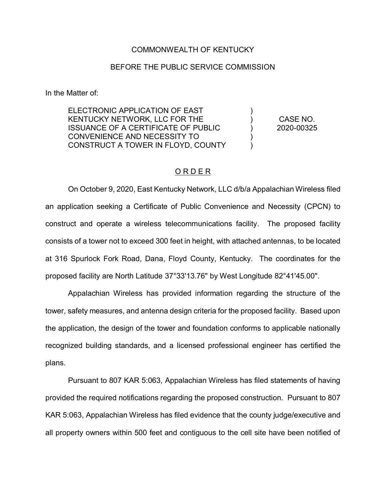## COMMONWEALTH OF KENTUCKY

## BEFORE THE PUBLIC SERVICE COMMISSION

In the Matter of:

ELECTRONIC APPLICATION OF EAST KENTUCKY NETWORK, LLC FOR THE ISSUANCE OF A CERTIFICATE OF PUBLIC CONVENIENCE AND NECESSITY TO CONSTRUCT A TOWER IN FLOYD, COUNTY ) ) ) ) )

CASE NO. 2020-00325

## O R D E R

On October 9, 2020, East Kentucky Network, LLC d/b/a Appalachian Wireless filed an application seeking a Certificate of Public Convenience and Necessity (CPCN) to construct and operate a wireless telecommunications facility. The proposed facility consists of a tower not to exceed 300 feet in height, with attached antennas, to be located at 316 Spurlock Fork Road, Dana, Floyd County, Kentucky. The coordinates for the proposed facility are North Latitude 37°33'13.76" by West Longitude 82°41'45.00".

Appalachian Wireless has provided information regarding the structure of the tower, safety measures, and antenna design criteria for the proposed facility. Based upon the application, the design of the tower and foundation conforms to applicable nationally recognized building standards, and a licensed professional engineer has certified the plans.

Pursuant to 807 KAR 5:063, Appalachian Wireless has filed statements of having provided the required notifications regarding the proposed construction. Pursuant to 807 KAR 5:063, Appalachian Wireless has filed evidence that the county judge/executive and all property owners within 500 feet and contiguous to the cell site have been notified of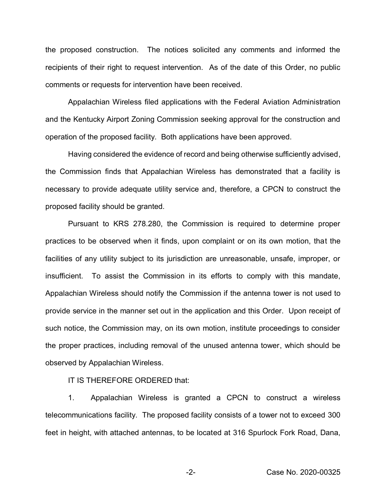the proposed construction. The notices solicited any comments and informed the recipients of their right to request intervention. As of the date of this Order, no public comments or requests for intervention have been received.

Appalachian Wireless filed applications with the Federal Aviation Administration and the Kentucky Airport Zoning Commission seeking approval for the construction and operation of the proposed facility. Both applications have been approved.

Having considered the evidence of record and being otherwise sufficiently advised, the Commission finds that Appalachian Wireless has demonstrated that a facility is necessary to provide adequate utility service and, therefore, a CPCN to construct the proposed facility should be granted.

Pursuant to KRS 278.280, the Commission is required to determine proper practices to be observed when it finds, upon complaint or on its own motion, that the facilities of any utility subject to its jurisdiction are unreasonable, unsafe, improper, or insufficient. To assist the Commission in its efforts to comply with this mandate, Appalachian Wireless should notify the Commission if the antenna tower is not used to provide service in the manner set out in the application and this Order. Upon receipt of such notice, the Commission may, on its own motion, institute proceedings to consider the proper practices, including removal of the unused antenna tower, which should be observed by Appalachian Wireless.

IT IS THEREFORE ORDERED that:

1. Appalachian Wireless is granted a CPCN to construct a wireless telecommunications facility. The proposed facility consists of a tower not to exceed 300 feet in height, with attached antennas, to be located at 316 Spurlock Fork Road, Dana,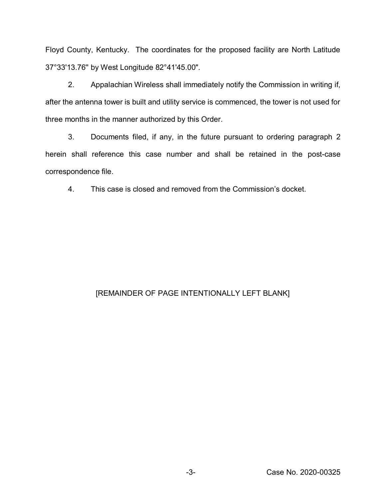Floyd County, Kentucky. The coordinates for the proposed facility are North Latitude 37°33'13.76'' by West Longitude 82°41'45.00".

2. Appalachian Wireless shall immediately notify the Commission in writing if, after the antenna tower is built and utility service is commenced, the tower is not used for three months in the manner authorized by this Order.

3. Documents filed, if any, in the future pursuant to ordering paragraph 2 herein shall reference this case number and shall be retained in the post-case correspondence file.

4. This case is closed and removed from the Commission's docket.

## [REMAINDER OF PAGE INTENTIONALLY LEFT BLANK]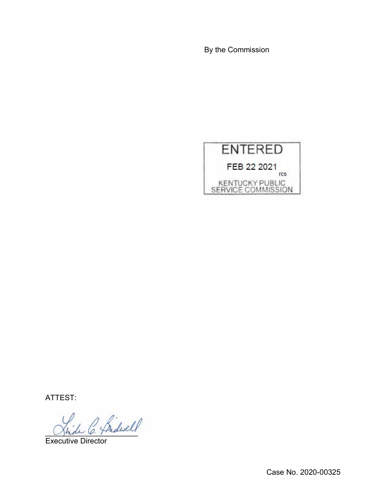By the Commission



ATTEST:

 $^{\prime}$  fridwell

Executive Director

Case No. 2020-00325